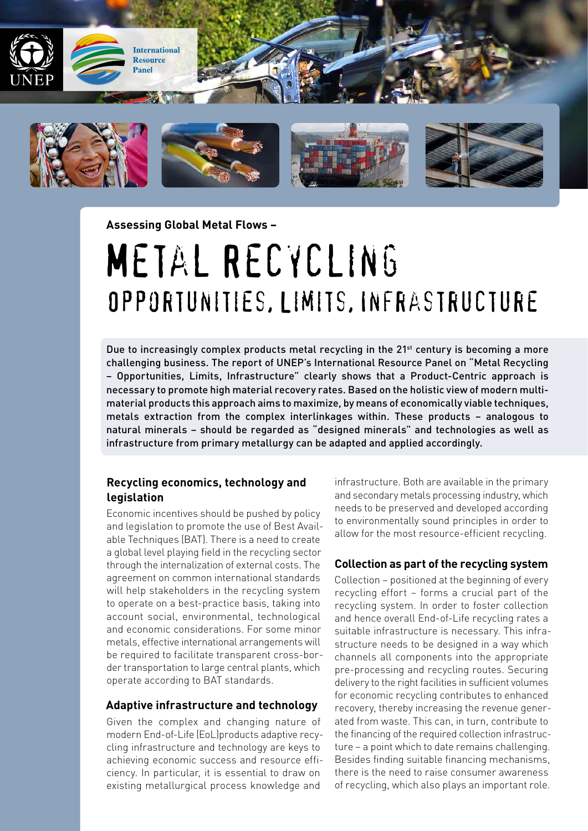

**Assessing Global Metal Flows –** 

# Metal Recycling Opportunities, Limits, Infrastructure

Due to increasingly complex products metal recycling in the 21<sup>st</sup> century is becoming a more challenging business. The report of UNEP's International Resource Panel on "Metal Recycling – Opportunities, Limits, Infrastructure" clearly shows that a Product-Centric approach is necessary to promote high material recovery rates. Based on the holistic view of modern multimaterial products this approach aims to maximize, by means of economically viable techniques, metals extraction from the complex interlinkages within. These products – analogous to natural minerals – should be regarded as "designed minerals" and technologies as well as infrastructure from primary metallurgy can be adapted and applied accordingly.

### **Recycling economics, technology and legislation**

Economic incentives should be pushed by policy and legislation to promote the use of Best Available Techniques (BAT). There is a need to create a global level playing field in the recycling sector through the internalization of external costs. The agreement on common international standards will help stakeholders in the recycling system to operate on a best-practice basis, taking into account social, environmental, technological and economic considerations. For some minor metals, effective international arrangements will be required to facilitate transparent cross-border transportation to large central plants, which operate according to BAT standards.

#### **Adaptive infrastructure and technology**

Given the complex and changing nature of modern End-of-Life (EoL)products adaptive recycling infrastructure and technology are keys to achieving economic success and resource efficiency. In particular, it is essential to draw on existing metallurgical process knowledge and

infrastructure. Both are available in the primary and secondary metals processing industry, which needs to be preserved and developed according to environmentally sound principles in order to allow for the most resource-efficient recycling.

#### **Collection as part of the recycling system**

Collection – positioned at the beginning of every recycling effort – forms a crucial part of the recycling system. In order to foster collection and hence overall End-of-Life recycling rates a suitable infrastructure is necessary. This infrastructure needs to be designed in a way which channels all components into the appropriate pre-processing and recycling routes. Securing delivery to the right facilities in sufficient volumes for economic recycling contributes to enhanced recovery, thereby increasing the revenue generated from waste. This can, in turn, contribute to the financing of the required collection infrastructure – a point which to date remains challenging. Besides finding suitable financing mechanisms, there is the need to raise consumer awareness of recycling, which also plays an important role.